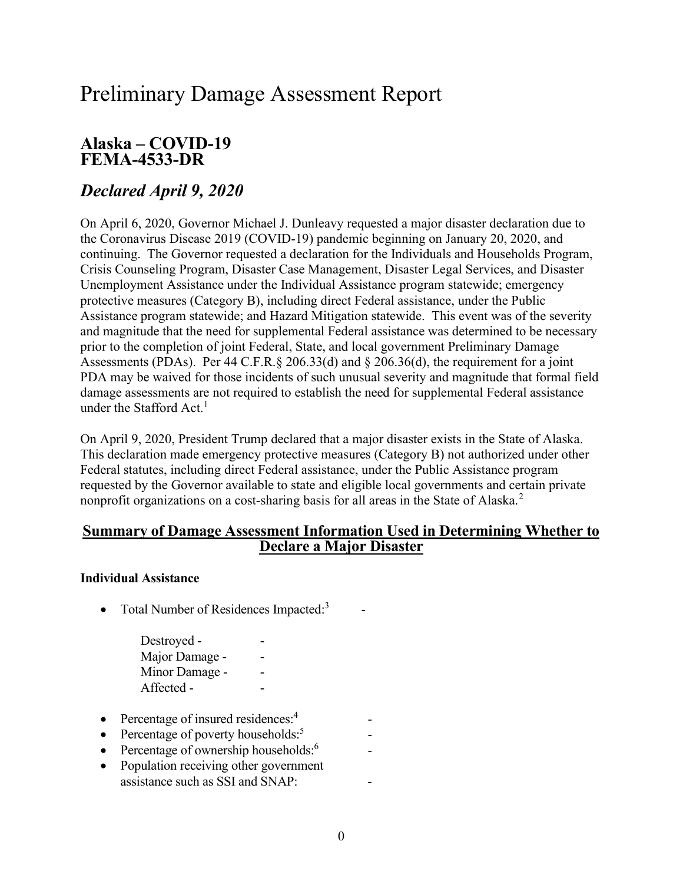# Preliminary Damage Assessment Report

### Alaska – COVID-19 FEMA-4533-DR

## Declared April 9, 2020

 On April 6, 2020, Governor Michael J. Dunleavy requested a major disaster declaration due to the Coronavirus Disease 2019 (COVID-19) pandemic beginning on January 20, 2020, and continuing. The Governor requested a declaration for the Individuals and Households Program, Crisis Counseling Program, Disaster Case Management, Disaster Legal Services, and Disaster Unemployment Assistance under the Individual Assistance program statewide; emergency protective measures (Category B), including direct Federal assistance, under the Public Assistance program statewide; and Hazard Mitigation statewide. This event was of the severity and magnitude that the need for supplemental Federal assistance was determined to be necessary prior to the completion of joint Federal, State, and local government Preliminary Damage Assessments (PDAs). Per 44 C.F.R.§ 206.33(d) and § 206.36(d), the requirement for a joint PDA may be waived for those incidents of such unusual severity and magnitude that formal field damage assessments are not required to establish the need for supplemental Federal assistance under the Stafford Act. $^{\rm l}$ 

 On April 9, 2020, President Trump declared that a major disaster exists in the State of Alaska. This declaration made emergency protective measures (Category B) not authorized under other Federal statutes, including direct Federal assistance, under the Public Assistance program requested by the Governor available to state and eligible local governments and certain private nonprofit organizations on a cost-sharing basis for all areas in the State of Alaska.<sup>2</sup>

### Summary of Damage Assessment Information Used in Determining Whether to Declare a Major Disaster

#### Individual Assistance

• Total Number of Residences Impacted: $3$ 

| Destroyed -    |  |
|----------------|--|
| Major Damage - |  |
| Minor Damage - |  |
| Affected -     |  |

- Percentage of insured residences:<sup>4</sup> -
- Percentage of poverty households: $5$  -
- Percentage of ownership households: $6$  -
- Population receiving other government assistance such as SSI and SNAP: -